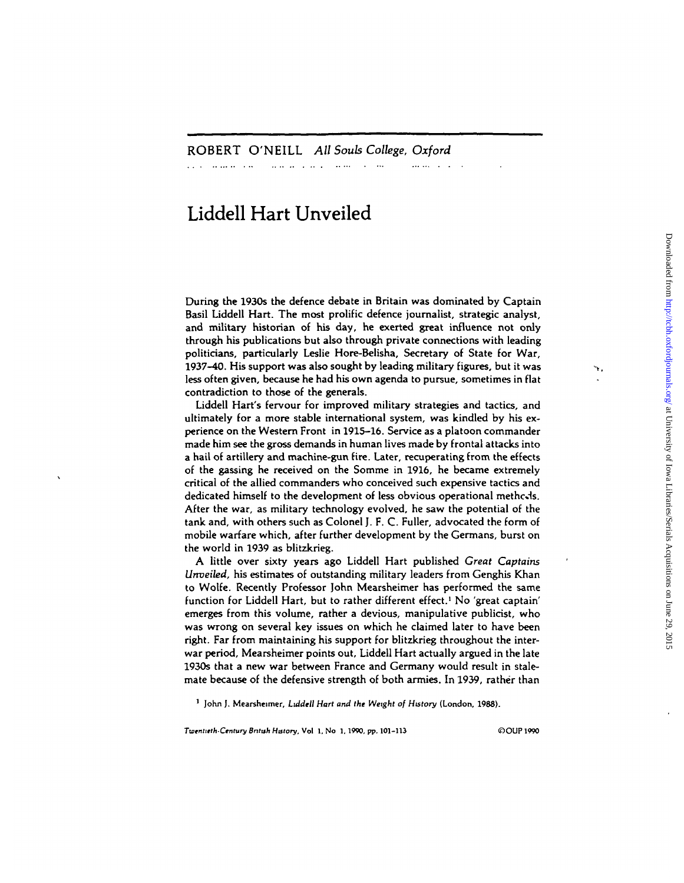$.2015$ 

۰.

 $\mathbf{r}$  and  $\mathbf{r}$  and  $\mathbf{r}$  and  $\mathbf{r}$  and  $\mathbf{r}$ 

## Liddel l Har t Unveile d

 $\ddotsc$  . The second contract of  $\ddotsc$ 

During the 1930s the defence debate in Britain was dominated by Captain Basil Liddel l Hart . Th e mos t prolifi c defenc e journalist , strategi c analyst , an d militar y historia n of hi s day , h e exerte d grea t influenc e no t onl y through his publications but also through private connections with leading politicians , particularl y Lesli e Hore-Belisha , Secretar y of Stat e fo r War , 1937–40. His support was also sought by leading military figures, but it was less often given, because he had his own agenda to pursue, sometimes in flat contradictio n t o thos e of th e generals .

 $\mathcal{L}_{\rm{max}}$ 

Liddell Hart's fervour for improved military strategies and tactics, and ultimately for a more stable international system, was kindled by his experience on the Western Front in 1915–16. Service as a platoon commander made him see the gross demands in human lives made by frontal attacks into a hail of artillery and machine-gun fire. Later, recuperating from the effects of th e gassin g h e receive d o n th e Somme in 1916 , h e becam e extremel y critica l of th e allie d commander s wh o conceive d suc h expensiv e tactic s an d dedicated himself to the development of less obvious operational metheds. After the war, as military technology evolved, he saw the potential of the tank and, with others such as Colonel J. F. C. Fuller, advocated the form of mobil e warfar e which , afte r furthe r developmen t b y th e Germans , burs t o n th e worl d i n 193 9 a s blitzkrieg .

A littl e ove r sixty year s ag o Liddel l Har t publishe d *Great Captains Unveiled,* his estimates of outstanding military leaders from Genghis Khan to Wolfe. Recently Professor John Mearsheimer has performed the same function for Liddell Hart, but to rather different effect.<sup>1</sup> No 'great captain' emerges from this volume, rather a devious, manipulative publicist, who was wrong on several key issues on which he claimed later to have been right. Far from maintaining his support for blitzkrieg throughout the interwar period, Mearsheimer points out, Liddell Hart actually argued in the late 1930s that a new war between France and Germany would result in stalemate because of the defensive strength of both armies. In 1939, rather than

**1 Joh n J. Mearsheimer ,** *Liddell Hart and the Weight of History* **(London , 1988) .**

**3 ©OU P 1990**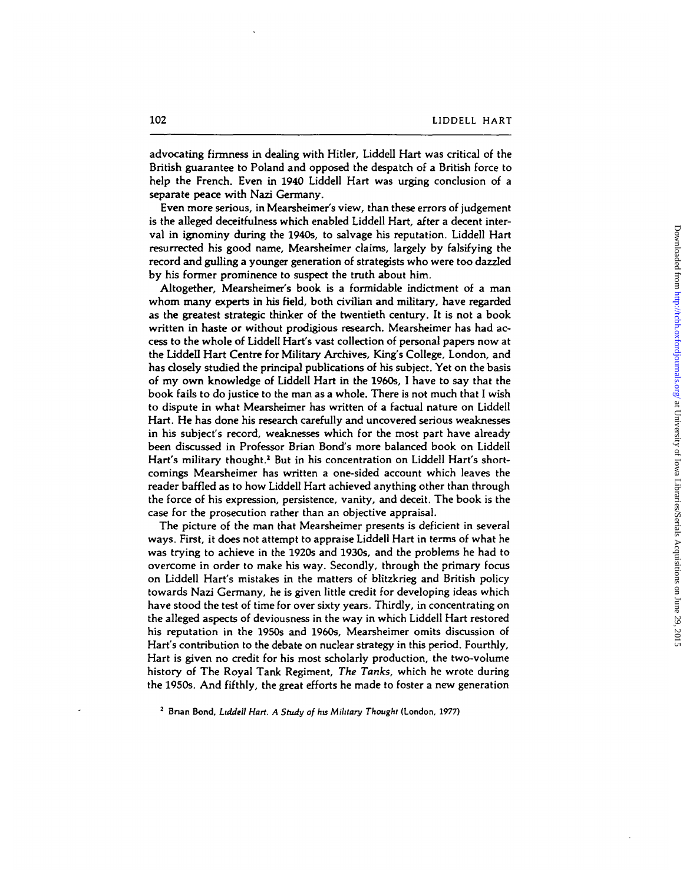advocating firmness in dealing with Hitler, Liddell Hart was critical of the Britis h guarante e t o Polan d an d oppose d th e despatc h of a Britis h forc e t o help the French. Even in 1940 Liddell Hart was urging conclusion of a separat e peac e wit h Naz i Germany .

Eve n mor e serious , i n Mearsheimer' s view , tha n thes e error s of judgemen t is the alleged deceitfulness which enabled Liddell Hart, after a decent interval in ignominy during the 1940s, to salvage his reputation. Liddell Hart resurrected his good name, Mearsheimer claims, largely by falsifying the e e too dazzled record and the sequence of strategists who were too dazzled by his former prominence to suspect the truth about him.

Altogether, Mearsheimer's book is a formidable indictment of a man who m man y expert s i n hi s field , bot h civilia n an d military , hav e regarde d as the greatest strategic thinker of the twentieth century. It is not a book written in haste or without prodigious research. Mearsheimer has had acces s t o th e whol e of Liddel l Hart' s vas t collectio n of persona l paper s no w a t th e Liddel l Har t Centr e fo r Militar y Archives , King' s College , London , an d has closely studied the principal publications of his subject. Yet on the basis of my own knowledge of Liddell Hart in the 1960s, I have to say that the book fails to do justice to the man as a whole. There is not much that I wish to dispute in what Mearsheimer has written of a factual nature on Liddell Hart . H e ha s don e hi s researc h carefull y an d uncovere d seriou s weaknesse s in his subject's record, weaknesses which for the most part have already been discussed in Professor Brian Bond's more balanced book on Liddell Hart's military thought.<sup>2</sup> But in his concentration on Liddell Hart's shortcoming s Mearsheime r ha s writte n a one-side d accoun t whic h leave s th e reader baffled as to how Liddell Hart achieved anything other than through the force of his expression, persistence, vanity, and deceit. The book is the re case for the prosecution rather than an objective appraisal.

The picture of the man that Mearsheimer presents is deficient in several ways. First, it does not attempt to appraise Liddell Hart in terms of what he was trying to achieve in the 1920s and 1930s, and the problems he had to overcome in order to make his way. Secondly, through the primary focus o n Liddel l Hart' s mistake s i n th e matter s of blitzkrie g an d Britis h polic y towards Nazi Germany, he is given little credit for developing ideas which have stood the test of time for over sixty years. Thirdly, in concentrating on the alleged aspects of deviousness in the way in which Liddell Hart restored his reputation in the 1950s and 1960s, Mearsheimer omits discussion of Hart's contribution to the debate on nuclear strategy in this period. Fourthly, Hart is given no credit for his most scholarly production, the two-volume history of The Royal Tank Regiment, The Tanks, which he wrote during the 1950s. And fifthly, the great efforts he made to foster a new generation

**<sup>2</sup> Bria n Bond ,** *Liddell Hart. A Study of his Military Thought* **(London , 1977 )**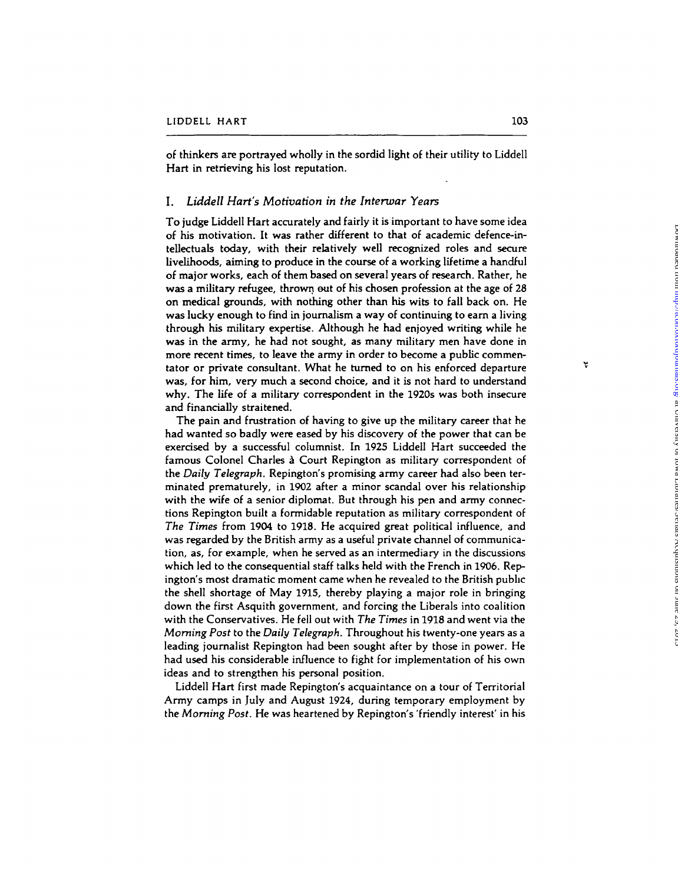of thinker s ar e portraye d wholl y i n th e sordi d ligh t of thei r utilit y t o Liddel l Hart in retrieving his lost reputation.

## I . *Liddell Hart's Motivation in the Interwar Years*

To judge Liddell Hart accurately and fairly it is important t o hav e som e ide a of hi s motivation . I t wa s rathe r different t o tha t of academi c defence-in tellectual s today , wit h thei r relativel y wel l recognize d role s an d secur e livelihoods, aiming to produce in the course of a working lifetime a handful of major works, each of them based on several years of research. Rather, he wa s a militar y refugee , throw n eu t of hi s chose n professio n a t th e ag e of 2 8 o n medica l grounds , with nothin g othe r tha n hi s wit s t o fal l bac k on . H e wa s luck y enoug h t o fin d i n journalis m a wa y of continuin g t o ear n a livin g throug h hi s militar y expertise . Althoug h he ha d enjoye d writin g whil e h e wa s i n th e army , h e ha d no t sought , a s man y militar y me n hav e don e in more recent times, to leave the army in order to become a public commentator or private consultant. What he turned to on his enforced departure was, for him, very much a second choice, and it is not hard to understand why . Th e life of a militar y corresponden t i n th e 1920 s wa s bot h insecur e an d financiall y straitened .

The pain and frustration of having to give up the military career that he ha d wante d s o badl y wer e ease d b y hi s discovery of th e powe r tha t ca n b e exercise d b y a successfu l columnist . I n 192 5 Liddel l Har t succeede d th e famous Colonel Charles à Court Repington as military correspondent of the *Daily Telegraph.* Repington's promising army career had also been terminate d prematurely , i n 190 2 after a mino r scanda l ove r hi s relationshi p with the wife of a senior diplomat. But through his pen and army connections Repington built a formidable reputation as military correspondent of *The Times* from 1904 to 1918. He acquired great political influence, and wa s regarde d b y th e Britis h arm y a s a useful privat e channe l of communica tion, as, for example, when he served as an intermediary in the discussions which led to the consequential staff talks held with the French in 1906. Repington's most dramatic moment came when he revealed to the British public the shell shortage of May 1915, thereby playing a major role in bringing dow n th e firs t Asquit h government , an d forcin g th e Liberal s int o coalitio n with the Conservatives. He fell out with *The Times* in 1918 and went via the *Morning Post* to the *Daily Telegraph.* Throughout his twenty-one years as a leading journalist Repington had b<del>e</del>en sought after by those in power. He had used his considerable influence to fight for implementation of his own idea s an d t o strengthe n hi s persona l position .

Liddell Hart first made Repington's acquaintance on a tour of Territorial Army camps in July and August 1924, during temporary employment by the M*orning Post*. He was heartened by Repington's 'friendly interest' in his  $\alpha$ t University of Iowa Libraries Actual Serials Actions on June 2015 http://tcb.org/ Downloaded from Downloaded from Downloaded from Downloaded from Downloaded from Downloaded from Downloaded from Downloaded from Downlo

۳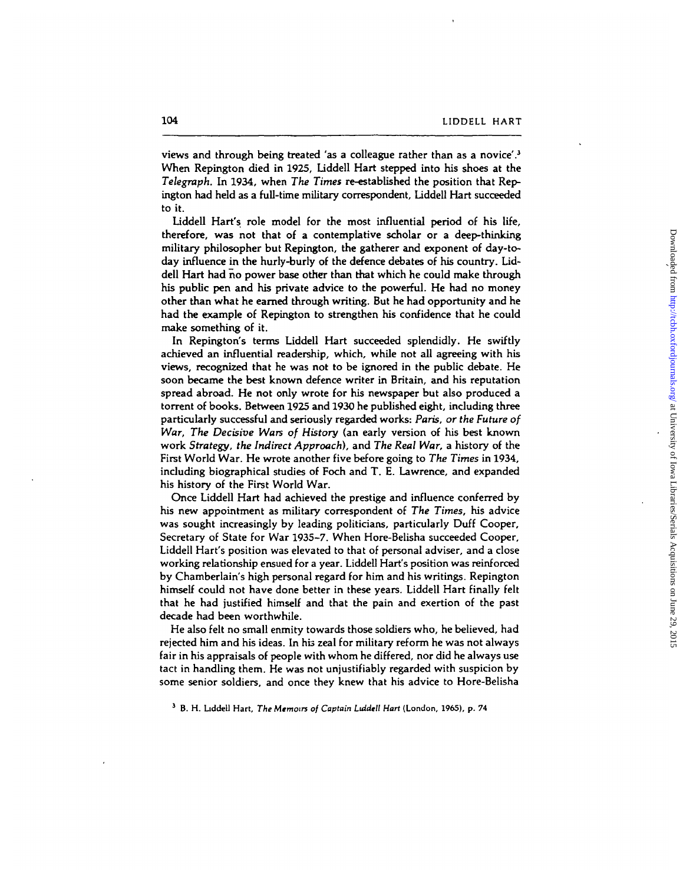views and through being treated 'as a colleague rather than as a novice'.<sup>3</sup> When Repington died in 1925, Liddell Hart stepped into his shoes at the Telegraph. In 1934, when The Times re-established the position that Repingto n ha d hel d a s a full-time militar y correspondent , liddel l Har t succeede d t o it .

Liddell Hart's role model for the most influential period of his life, therefore, was not that of a contemplative scholar or a deep-thinking military philosopher but Repington, the gatherer and exponent of day-today influence in the hurly-burly of the defence debates of his country. Liddell Hart had no power base other than that which he could make through his public pen and his private advice to the powerful. He had no money other than what he earned through writing. But he had opportunity and he had the example of Repington to strengthen his confidence that he could mak e somethin g of it .

In Repington's terms Liddell Hart succeeded splendidly. He swiftly achieved an influential readership, which, while not all agreeing with his views, recognized that he was not to be ignored in the public debate. He soo n becam e th e bes t know n defenc e write r i n Britain , an d hi s reputatio n sprea d abroad . H e no t onl y wrot e fo r hi s newspape r bu t als o produce d a torrent of books. Between 1925 and 1930 he published eight, including three particularl y successfu l an d seriousl y regarde d works : *Paris, or the Future of* War, The Decisive Wars of History (an early version of his best known wor k *Strategy, the Indirect Approach),* an d *The Real War,* a histor y of th e Firs t Worl d War . H e wrot e anothe r fiv e befor e goin g t o *The Times* i n 1934 , including biographical studies of Foch and T. E. Lawrence, and expanded hi s histor y of th e Firs t Worl d War .

Once Liddell Hart had achieved the prestige and influence conferred by his new appointment as military correspondent of *The Times,* his advice wa s sough t increasingl y b y leadin g politicians , particularl y Duff Cooper , Secretar y of Stat e fo r Wa r 1935-7 . Whe n Hore-Belish a succeede d Cooper , Liddell Hart's position was elevated to that of personal adviser, and a close workin g relationshi p ensue d fo r a year . Liddel l Hart' s positio n wa s reinforce d b y Chamberlain' s hig h persona l regar d fo r hi m an d hi s writings . Repingto n himsel f coul d no t hav e don e bette r i n thes e years . Liddel l Har t finall y felt that he had justified himself and that the pain and exertion of the past decad e ha d bee n worthwhile .

He also felt no small enmity towards those soldiers who, he believed, had rejected him and his ideas. In his zeal for military reform he was not always fai r i n hi s appraisal s of peopl e wit h who m h e differed , no r di d h e alway s us e tact in handling them. He was not unjustifiably regarded with suspicion by some senior soldiers, and once they knew that his advice to Hore-Belisha

<sup>&</sup>lt;sup>3</sup> B. H. Liddell Hart, *The Memoirs of Captain Liddell Hart* (London, 1965), p. 74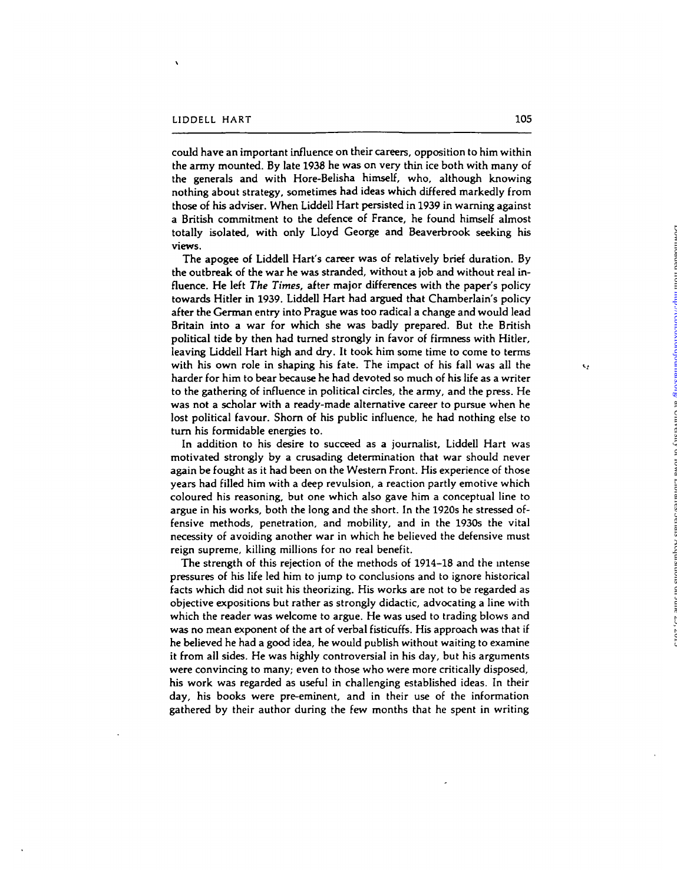could have an important influence on their careers, opposition to him within the army mounted. By late 1938 he was on very thin ice both with many of th e general s an d wit h Hore-Belish a himself, who , althoug h knowin g nothing about strategy, sometimes had ideas which differed markedly from those of his adviser. When Liddell Hart persisted in 1939 in warning against a British commitment to the defence of France, he found himself almost totally isolated, with only Lloyd George and Beaverbrook seeking his views .

The apogee of Liddell Hart's career was of relatively brief duration. By the outbreak of the war he was stranded, without a job and without real influence. He left *The Times,* after major differences with the paper's policy towards Hitler in 1939. Liddell Hart had argued that Chamberlain's policy after the German entry into Prague was too radical a change and would lead Britain into a war for which she was badly prepared. But the British political tide by then had turned strongly in favor of firmness with Hitler, leaving Liddell Hart high and dry. It took him some time to come to terms with his own role in shaping his fate. The impact of his fall was all the harder for him to bear because he had devoted so much of his life as a writer to the gathering of influence in political circles, the army, and the press. He was not a scholar with a ready-made alternative career to pursue when he los t political favour . Shor n of hi s publi c influence , h e ha d nothin g els e t o tur n hi s formidabl e energie s to .

In addition to his desire to succeed as a journalist, Liddell Hart was motivate d strongl y b y a crusadin g determinatio n tha t wa r shoul d neve r again be fought as it had been on the Western Front. His experience of those years had filled him with a deep revulsion, a reaction partly emotive which coloured his reasoning, but one which also gave him a conceptual line to argue in his works, both the long and the short. In the 1920s he stressed offensive methods, penetration, and mobility, and in the 1930s the vital necessity of avoiding another war in which he believed the defensive must reign supreme, killing millions for no real benefit.

The strength of this rejection of the methods of 1914–18 and the intense pressures of his life led him to jump to conclusions and to ignore historical facts which did not suit his theorizing. His works are not to be regarded as objective expositions but rather as strongly didactic, advocating a line with which the reader was welcome to argue. He was used to trading blows and was no mean exponent of the art of verbal fisticuffs. His approach was that if he believed he had a good idea, he would publish without waiting to examine it from all sides. He was highly controversial in his day, but his arguments were convincing to many; even to those who were more critically disposed, hi s wor k wa s regarde d a s usefu l i n challengin g establishe d ideas . I n thei r day , hi s book s wer e pre-eminent , an d i n thei r us e of th e informatio n gathered by their author during the few months that he spent in writing

 $\alpha$ t University of Iowa Libraries Actor of Iowa Libraries Acquisitions or June 2015 http://tcb.org/ Downloaded from Downloaded from Downloaded from Downloaded from Downloaded from Downloaded from Downloaded from Download

¢,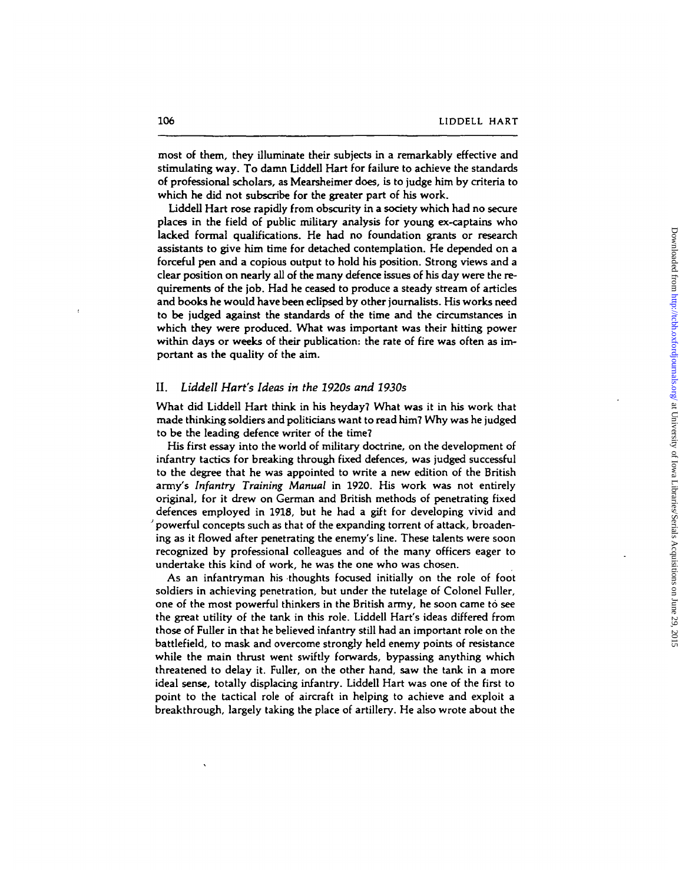most of them, they illuminate their subjects in a remarkably effective and stimulatin g way . T o damn Liddel l Har t fo r failur e t o achiev e th e standard s of professiona l scholars , a s Mearsheime r does , i s t o judg e hi m b y criteri a t o whic h h e di d no t subscrib e fo r th e greate r par t of hi s work .

Liddel l Har t ros e rapidl y fro m obscurit y i n a society whic h ha d n o secur e place s i n th e fiel d of publi c militar y analysi s fo r youn g ex-captain s wh o lacke d forma l qualifications . H e ha d n o foundatio n grant s o r researc h assistants to give him time for detached contemplation. He depended on a forcefu l pe n an d a copiou s outpu t t o hol d hi s position . Stron g view s an d a clea r positio n o n nearl y all of th e man y defenc e issue s of hi s da y wer e th e re quirement s of th e job . Ha d h e cease d t o produc e a stead y strea m of article s and books he would have been eclipsed by other journalists. His works need to be judged against the standards of the time and the circumstances in which they were produced. What was important was their hitting power within days or weeks of their publication: the rate of fire was often as important as the quality of the aim.

## II . *Liddell Hart's Ideas in the 1920s and 1930s*

What did Liddell Hart think in his heyday? What was it in his work that made thinking soldiers and politicians want to read him? Why was he judged t o b e th e leadin g defenc e write r of th e time7

Hi s firs t essa y int o th e worl d of militar y doctrine , o n th e developmen t of infantr y tactic s fo r breakin g throug h fixed defences , wa s judge d successfu l to the degree that he was appointed to write a new edition of the British army's *Infantry Training Manual* in 1920. His work was not entirely original , fo r i t dre w o n Germa n an d Britis h method s of penetratin g fixed defences employed in 1918, but he had a gift for developing vivid and powerful concepts such as that of the expanding torrent of attack, broadening as it flowed after penetrating the enemy's line. These talents were soon recognized by professional colleagues and of the many officers eager to undertak e thi s kin d of work , h e wa s th e on e wh o wa s chosen .

As an infantryman his thoughts focused initially on the role of foot soldier s i n achievin g penetration , bu t unde r th e tutelag e of Colone l Fuller , on e of th e mos t powerfu l thinker s i n th e Britis h army , h e soo n cam e t o se e the great utility of the tank in this role. Liddell Hart's ideas differed from those of Fuller in that he believed infantry still had an important role on the battlefield , t o mas k an d overcom e strongl y hel d enemy point s of resistanc e while the main thrust went swiftly forwards, bypassing anything which threatened to delay it. Fuller, on the other hand, saw the tank in a more ideal sense, totally displacing infantry. Liddell Hart was one of the first to point to the tactical role of aircraft in helping to achieve and exploit a .<br>breakthrough, largely taking the place of artillery. He also wrote about the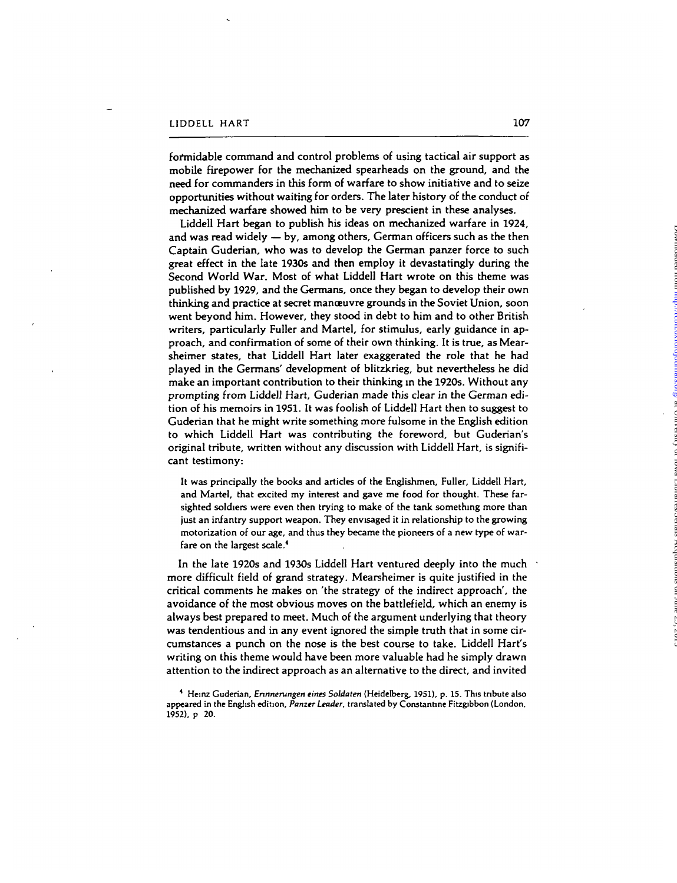formidable command and control problems of using tactical air support as mobile firepower for the mechanized spearheads on the ground, and the need for commanders in this form of warfare to show initiative and to seize opportunities without waiting for orders. The later history of the conduct of mechanized warfare showed him to be very prescient in these analyses.

Liddel l Har t began t o publis h hi s idea s o n mechanize d warfar e in 1924 , an d wa s read widel y — by , amon g others , Germa n officer s suc h a s th e the n Captain Guderian, who was to develop the German panzer force to such great effect in the late 1930s and then employ it devastatingly during the Second World War. Most of what Liddell Hart wrote on this theme was publishe d b y 1929 , an d th e Germans , onc e the y bega n t o develo p thei r ow n .<br>thinking and practice at secret manœuvre grounds in the Soviet Union, soon wen t beyon d him . However , the y stoo d i n deb t t o hi m an d t o othe r Britis h writers, particularly Fuller and Martel, for stimulus, early guidance in approach, and confirmation of some of their own thinking. It is true, as Mear-.<br>sheimer states, that Liddell Hart later exaggerated the role that he had playe d i n th e Germans' developmen t of blitzkrieg , bu t nevertheles s h e di d .<br>make an important contribution to their thinking in the 1920s. Without any prompting from Liddell Hart. Guderian made this clear in the German edi-.<br>tion of his memoirs in 1951. It was foolish of Liddell Hart then to suggest to Guderia n tha t h e migh t writ e somethin g mor e fulsome i n th e Englis h editio n to which Liddell Hart was contributing the foreword, but Guderian's original tribute, written without any discussion with Liddell Hart, is significan t testimony :

It was principally the books and article s of the Englishmen , Fuller, Liddell Hart , and Martel , that excited my interest and gave me food for thought . Thes e farsighted soldiers were even then trying to make of the tank something more than just an infantry support weapon . They envisaged it in relationship to the growing motorizatio n of our age , and thu s they became the pioneers of a new type of warfare on the largest scale.<sup>4</sup>

In the late 1920s and 1930s Liddell Hart ventured deeply into the much more difficult field of grand strategy. Mearsheimer is quite justified in the critica l comment s h e make s o n 'th e strateg y of th e indirec t approach' , th e avoidance of the most obvious moves on the battlefield, which an enemy is always best prepared to meet. Much of the argument underlying that theory was tendentious and in any event ignored the simple truth that in some circumstance s a punc h o n th e nos e i s th e bes t cours e t o take . Liddel l Hart' s writing on this theme would have been more valuable had he simply drawn attention to the indirect approach as an alternative to the direct, and invited

 $\alpha$ t University of Iowa Libraries Actor of Iowa Libraries Acquisitions or June 2015 http://tcb.org/ Downloaded from Downloaded from Downloaded from Downloaded from Downloaded from Downloaded from Downloaded from Download

**<sup>4</sup> Hein z Guderian ,** *Ennnerungen tines Soldaten* **(Heidelberg , 1951) , p . 15 . Thi s tribut e als o appeare d i n th e Englis h edition .** *Panzer Leader,* **translate d b y Constantin e Fitzgibbo n (London , 1952) , p 20 .**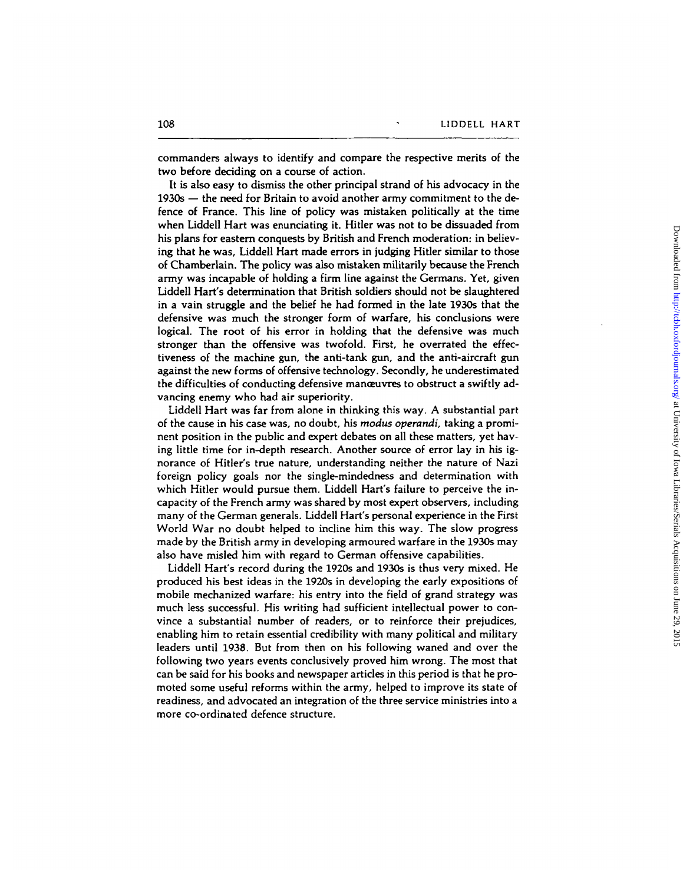commander s alway s t o identify an d compar e th e respectiv e merit s of th e tw o befor e decidin g o n a cours e of action .

It is also easy to dismiss the other principal strand of his advocacy in the 1930s — the need for Britain to avoid another army commitment to the defence of France. This line of policy was mistaken politically at the time when Liddell Hart was enunciating it. Hitler was not to be dissuaded from his plans for eastern conquests by British and French moderation: in believing that he was, Liddell Hart made errors in judging Hitler similar to those of Chamberlain . Th e polic y wa s als o mistake n militaril y becaus e th e Frenc h army was incapable of holding a firm line against the Germans. Yet, given Liddell Hart's determination that British soldiers should not be slaughtered in a vain struggle and the belief he had formed in the late 1930s that the defensive was much the stronger form of warfare, his conclusions were logical. The root of his error in holding that the defensive was much stronger than the offensive was twofold. First, he overrated the effectiveness of the machine gun, the anti-tank gun and the anti-aircraft gun against the new forms of offensive technology. Secondly, he underestimated the difficulties of conducting defensive manoeuvres to obstruct a swiftly adwancing enemy who had air superiority

Liddell Hart was far from alone in thinking this way. A substantial part of the cause in his case was, no doubt, his *modus operandi,* taking a prominent position in the public and expert debates on all these matters, yet having little time for in-depth research. Another source of error lay in his ignorance of Hitler's true nature, understanding neither the nature of Nazi foreign policy goals nor the single-mindedness and determination with which Hitler would pursue them. Liddell Hart's failure to perceive the incapacit y of th e Frenc h arm y wa s share d b y mos t expert observers , includin g man y of th e Germa n generals . Liddel l Hart' s persona l experienc e in th e Firs t World War no doubt helped to incline him this way. The slow progress mad e b y th e Britis h arm y i n developin g armoure d warfar e i n th e 1930 s may als o hav e misle d hi m with regar d t o Germa n offensiv e capabilities .

Liddell Hart's record during the 1920s and 1930s is thus very mixed. He produced his best ideas in the 1920s in developing the early expositions of mobile mechanized warfare: his entry into the field of grand strategy was much less successful. His writing had sufficient intellectual power to convince a substantial number of readers, or to reinforce their prejudices, enabling him to retain essential credibility with many political and military leaders until 1938. But from then on his following waned and over the following two years events conclusively proved him wrong. The most that ca n b e sai d fo r hi s book s an d newspape r article s in thi s perio d i s tha t h e pro moted some useful reforms within the army, helped to improve its state of readiness, and advocated an integration of the three service ministries into a mor e co-ordinate d defenc e structure .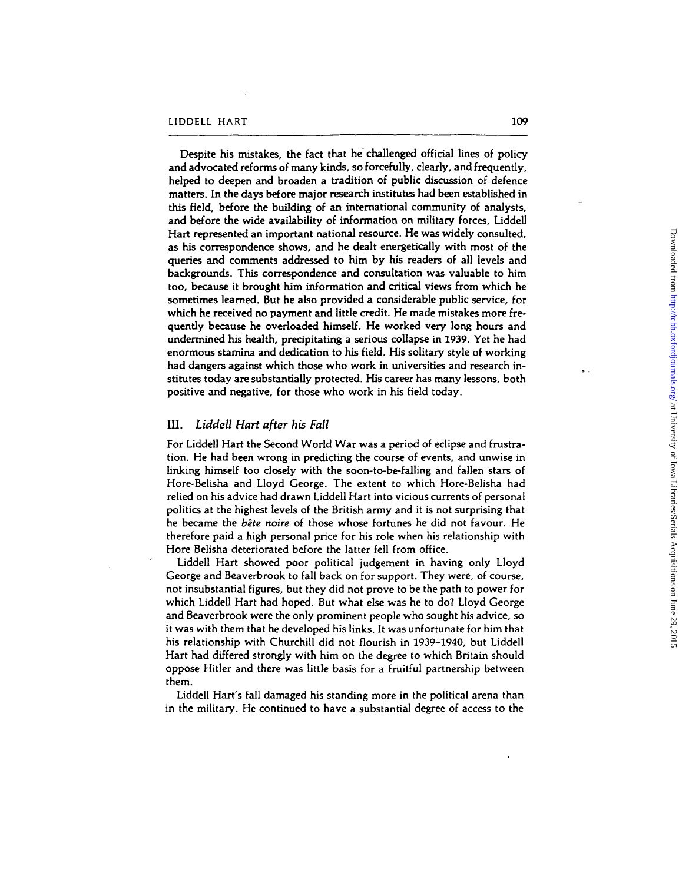Despit e hi s mistakes , th e fac t tha t h e challenge d official line s of polic y an d advocate d reform s of man y kinds , s o forcefully , clearly , an d frequently , helped to deepen and broaden a tradition of public discussion of defence matters. In the days before major research institutes had been established in thi s field , befor e th e buildin g of a n internationa l communit y of analysts , and before the wide availability of information on military forces, Liddell Hart represented an important national resource. He was widely consulted, as his correspondence shows, and he dealt energetically with most of the queries and comments addressed to him by his readers of all levels and backgrounds . Thi s correspondenc e an d consultatio n wa s valuabl e t o hi m too, because it brought him information and critical views from which he sometime s learned . Bu t h e als o provide d a considerabl e publi c service , fo r which he received no payment and little credit. He made mistakes more frequentl y becaus e h e overloade d himself. H e worke d ver y lon g hour s an d undermine d hi s health , precipitatin g a seriou s collaps e i n 1939 . Yet h e ha d enormou s stamin a an d dedicatio n t o hi s field . Hi s solitar y styl e of workin g had dangers against which those who work in universities and research institute s toda y ar e substantiall y protected . Hi s caree r ha s man y lessons , bot h positiv e an d negative , fo r thos e wh o wor k i n hi s fiel d today .

## **III .** *Liddell Hart after his Fall*

For Liddell Hart the Second World War was a period of eclipse and frustration . H e ha d bee n wron g i n predictin g th e cours e of events , an d unwis e i n linking himself too closely with the soon-to-be-falling and fallen stars of Hore-Belish a an d Lloy d George . Th e exten t t o whic h Hore-Belish a ha d relied on his advice had drawn Liddell Hart into vicious currents of personal politics at the highest levels of the British army and it is not surprising that he became the *bête noire* of those whose fortunes he did not favour. He therefore paid a high personal price for his role when his relationship with Hore Belisha deteriorated before the latter fell from office.

Liddell Hart showed poor political judgement in having only Lloyd George and Beaverbrook to fall back on for support. They were, of course, not insubstantial figures, but they did not prove to be the path to power for which Liddell Hart had hoped. But what else was he to do? Lloyd George and Beaverbrook were the only prominent people who sought his advice, so it was with them that he developed his links. It was unfortunate for him that his relationship with Churchill did not flourish in 1939–1940, but Liddell Hart had differed strongly with him on the degree to which Britain should oppose Hitler and there was little basis for a fruitful partnership between them .

Liddell Hart's fall damaged his standing more in the political arena than in the military. He continued to have a substantial degree of access to the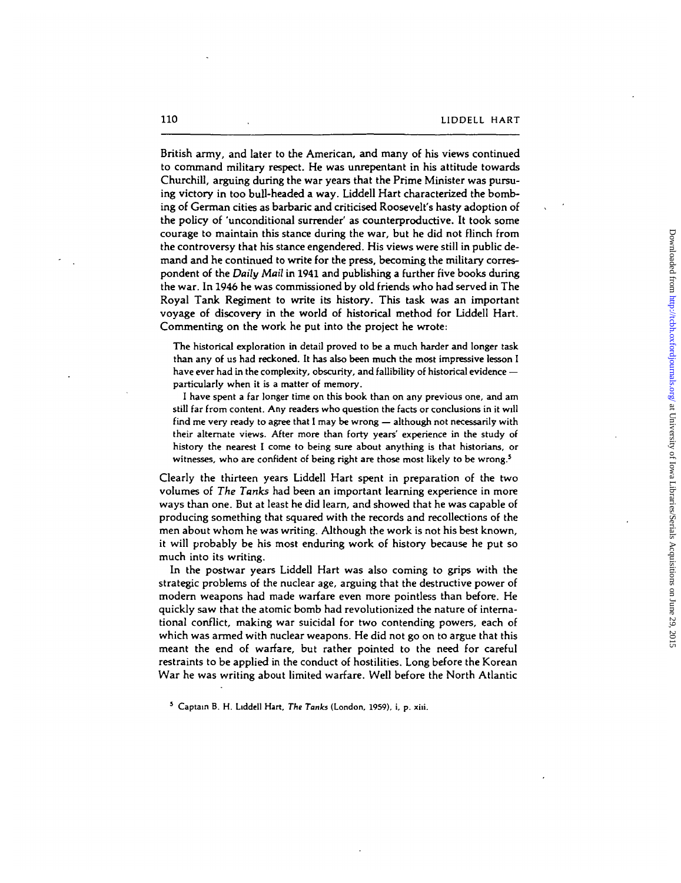British army, and later to the American, and many of his views continued t o comman d militar y respect . H e wa s unrepentan t i n hi s attitud e toward s Churchill, arguing during the war years that the Prime Minister was pursuin g victor y i n to o bull-heade d a way . Liddel l Har t characterize d th e bomb in g of Germa n citie s a s barbari c an d criticise d Roosevelt' s hast y adoptio n of the policy of 'unconditional surrender' as counterproductive. It took some courage to maintain this stance during the war, but he did not flinch from the controversy that his stance engendered. His views were still in public demand and he continued to write for the press, becoming the military correspondent of the *Daily Mail* in 1941 and publishing a further five books during the war. In 1946 he was commissioned by old friends who had served in The Royal Tank Regiment to write its history. This task was an important voyage of discovery in the world of historical method for Liddell Hart. Commenting on the work he put into the project he wrote:

The historical exploration in detail proved to be a much harder and longer task than any of us had reckoned. It has also been much the most impressive lesson I have ever had in the complexity, obscurity, and fallibility of historical evidence particularl y whe n i t i s a matte r of memory .

I have spent a far longer time on this book than on any previous one, and am still far from content. Any readers who question the facts or conclusions in it will find me very ready to agree that I may be wrong — although not necessarily with thei r alternat e views . After more tha n forty years' experienc e i n th e stud y of history the nearest I come to being sure about anything is that historians, or witnesses, who are confident of being right are those most likely to be wrong.<sup>5</sup>

Clearly the thirteen years Liddell Hart spent in preparation of the two volumes of *The Tanks* had been an important learning experience in more ways than one. But at least he did learn, and showed that he was capable of producing something that squared with the records and recollections of the men about whom he was writing. Although the work is not his best known, it will probably be his most enduring work of history because he put so muc h int o it s writing .

In the postwar years Liddell Hart was also coming to grips with the strategic problems of the nuclear age, arguing that the destructive power ol modern weapons had made warfare even more pointless than before. He quickl y sa w tha t th e atomi c bom b ha d revolutionize d th e natur e of interna tional conflict, making war suicidal for two contending powers, each of which was armed with nuclear weapons. He did not go on to argue that this meant the end of warfare, but rather pointed to the need for careful restraints to be applied in the conduct of hostilities. Long before the Korean Wa r h e wa s writin g abou t limite d warfare . Wel l befor e th e Nort h Atlanti c

**<sup>5</sup> Captai n B . H . Liddel l Hart .** *The Tanks* **(London . 1959) , i , p . xiii .**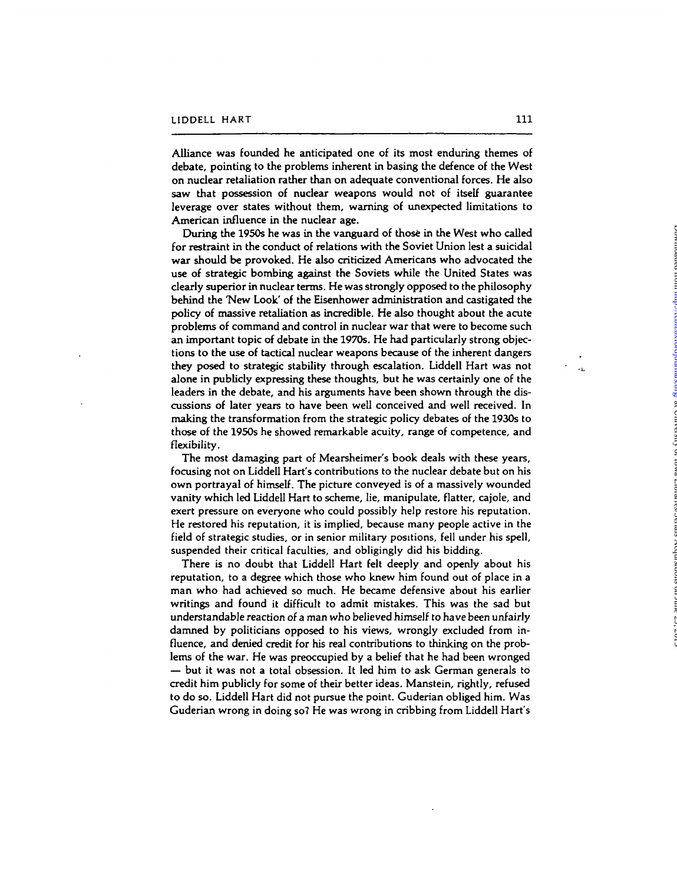Alliance was founded he anticipated one of its most enduring themes of debate, pointing to the problems inherent in basing the defence of the West on nuclear retaliation rather than on adequate conventional forces. He also saw that possession of nuclear weapons would not of itself guarantee leverage over states without them, warning of unexpected limitations to America n influenc e i n th e nuclear age .

During the 1950s he was in the vanguard of those in the West who called for restraint in the conduct of relations with the Soviet Union lest a suicidal war should be provoked. He also criticized Americans who advocated the use of strategic bombing against the Soviets while the United States was clearly superior in nuclear terms. He was strongly opposed to the philosophy behind the 'New Look' of the Eisenhower administration and castigated the policy of massive retaliation as incredible. He also thought about the acute <u>.</u><br>problems of command and control in nuclear war that were to become such .<br>an important topic of debate in the 1970s. He had particularly strong objections to the use of tactical nuclear weapons because of the inherent dangers they posed to strategic stability through escalation. Liddell Hart was not alone in publicly expressing these thoughts, but he was certainly one of the leaders in the debate, and his arguments have been shown through the discussions of later vears to have been well conceived and well received. In making the transformation from the strategic policy debates of the 1930s to those of the 1950s he showed remarkable acuity, range of competence, and flexibility .

Th e mos t damagin g par t of Mearsheimer' s boo k deal s with thes e years , focusing not on Liddell Hart's contributions to the nuclear debate but on his ow n portraya l of himself. Th e pictur e conveye d i s of a massivel y wounde d vanity which led Liddell Hart to scheme, lie, manipulate, flatter, cajole, and exert pressure on everyone who could possibly help restore his reputation. He restored his reputation, it is implied, because many people active in the field of strategic studies, or in senior military positions, fell under his spell, suspended their critical faculties, and obligingly did his bidding.

There is no doubt that Liddell Hart felt deeply and openly about his reputation, to a degree which those who knew him found out of place in a man who had achieved so much. He became defensive about his earlier writings and found it difficult to admit mistakes. This was the sad but understandable reaction of a man who believed himself to have been unfairly damned by politicians opposed to his views, wrongly excluded from influence, and denied credit for his real contributions to thinking on the problems of the war. He was preoccupied by a belief that he had been wronged — but it was not a total obsession. It led him to ask German generals to credi t hi m publicl y fo r some of thei r bette r ideas . Manstein , rightly, refuse d to do so. Liddell Hart did not pursue the point. Guderian obliged him. Was Guderia n wron g i n doin g so ? H e wa s wron g i n cribbin g fro m Liddel l Hart' s

 $\overline{a}$ 

 $\alpha$ t University of Iowa Libraries Actor of Iowa Libraries Acquisitions or June 2015 http://tcb.org/ Downloaded from Downloaded from Downloaded from Downloaded from Downloaded from Downloaded from Downloaded from Download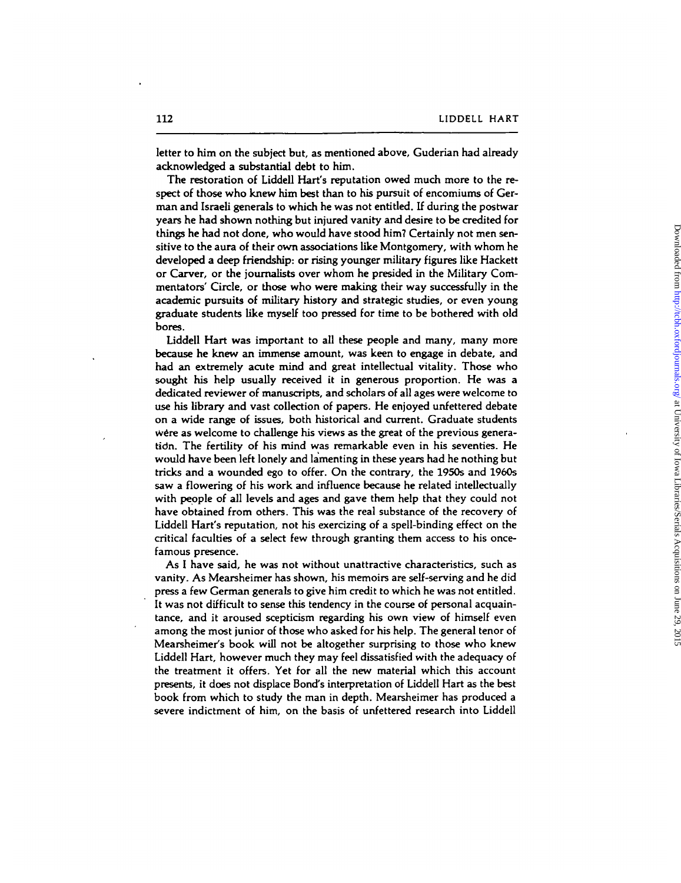letter to him on the subject but, as mentioned above, Guderian had already acknowledge d a substantia l deb t t o him .

The restoration of Liddell Hart's reputation owed much more to the respect of those who knew him best than to his pursuit of encomiums of German and Israeli generals to which he was not entitled. If during the postwar year s h e ha d show n nothin g bu t injure d vanit y an d desir e t o b e credite d fo r things he had not done, who would have stood him? Certainly not men sensitive to the aura of their own associations like Montgomery, with whom he develope d a dee p friendship : o r risin g younge r militar y figure s lik e Hacket t or Carver, or the journalists over whom he presided in the Military Commentators' Circle, or those who were making their way successfully in the academic pursuits of military history and strategic studies, or even young eraduate students like myself too pressed for time to be bothered with old bores .

Liddell Hart was important to all these people and many, many more becaus e h e kne w a n immens e amount , wa s kee n t o engag e i n debate , an d had an extremely acute mind and great intellectual vitality. Those who sough t hi s hel p usuall y receive d i t i n generou s proportion . H e wa s a dedicate d reviewer of manuscripts , an d scholar s of al l age s wer e welcom e t o us e hi s librar y an d vas t collectio n of papers . H e enjoye d unfettere d debat e o n a wid e rang e of issues , bot h historica l an d current . Graduat e student s were as welcome to challenge his views as the great of the previous generatidn. The fertility of his mind was remarkable even in his seventies. He woul d hav e bee n left lonel y an d lamentin g i n thes e year s ha d h e nothin g bu t trick s an d a wounde d eg o t o offer . O n th e contrary , th e 1950 s an d 1960 s sa w a flowerin g of hi s work an d influenc e becaus e h e related intellectuall y with people of all levels and ages and gave them help that they could not have obtained from others. This was the real substance of the recovery of Liddell Hart's reputation, not his exercizing of a spell-binding effect on the critical faculties of a select few through granting them access to his oncefamou s presence .

As I have said, he was not without unattractive characteristics, such as vanity. As Mearsheimer has shown, his memoirs are self-serving and he did pres s a few Germa n general s t o giv e hi m credi t t o whic h h e wa s no t entitled . It was not difficult to sense this tendency in the course of personal acquaintance, and it aroused scepticism regarding his own view of himself even among the most junior of those who asked for his help. The general tenor of Mearsheimer's book will not be altogether surprising to those who knew Liddell Hart, however much they may feel dissatisfied with the adequacy of the treatment it offers. Yet for all the new material which this account presents , i t doe s no t displac e Bond' s interpretatio n of Liddel l Har t a s th e bes t .<br>book from which to study the man in depth. Mearsheimer has produced a severe indictment of him, on the basis of unfettered research into Liddell